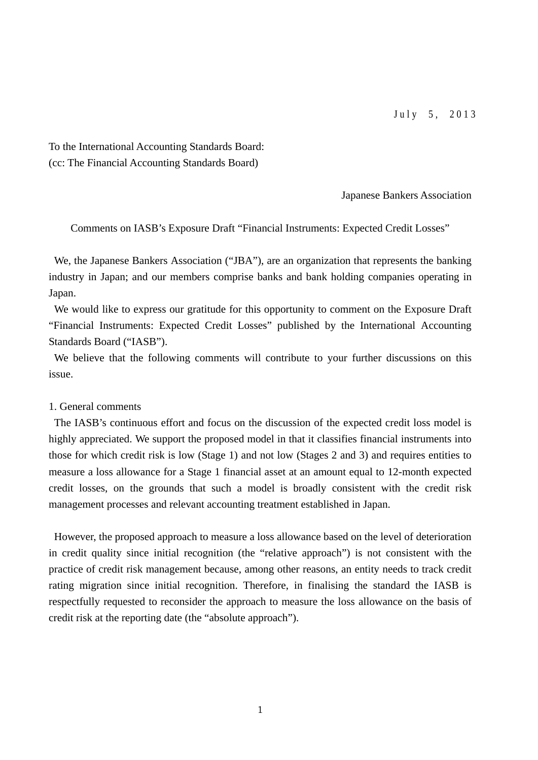To the International Accounting Standards Board: (cc: The Financial Accounting Standards Board)

Japanese Bankers Association

Comments on IASB's Exposure Draft "Financial Instruments: Expected Credit Losses"

We, the Japanese Bankers Association ("JBA"), are an organization that represents the banking industry in Japan; and our members comprise banks and bank holding companies operating in Japan.

We would like to express our gratitude for this opportunity to comment on the Exposure Draft "Financial Instruments: Expected Credit Losses" published by the International Accounting Standards Board ("IASB").

We believe that the following comments will contribute to your further discussions on this issue.

#### 1. General comments

The IASB's continuous effort and focus on the discussion of the expected credit loss model is highly appreciated. We support the proposed model in that it classifies financial instruments into those for which credit risk is low (Stage 1) and not low (Stages 2 and 3) and requires entities to measure a loss allowance for a Stage 1 financial asset at an amount equal to 12-month expected credit losses, on the grounds that such a model is broadly consistent with the credit risk management processes and relevant accounting treatment established in Japan.

However, the proposed approach to measure a loss allowance based on the level of deterioration in credit quality since initial recognition (the "relative approach") is not consistent with the practice of credit risk management because, among other reasons, an entity needs to track credit rating migration since initial recognition. Therefore, in finalising the standard the IASB is respectfully requested to reconsider the approach to measure the loss allowance on the basis of credit risk at the reporting date (the "absolute approach").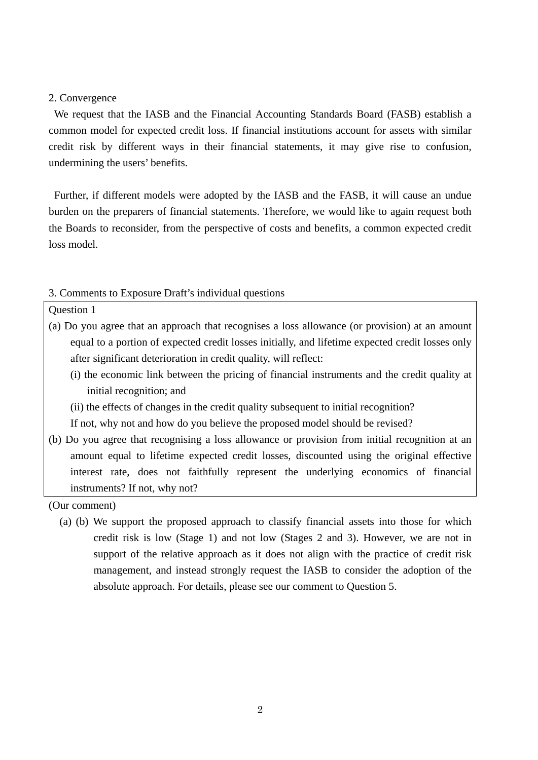#### 2. Convergence

We request that the IASB and the Financial Accounting Standards Board (FASB) establish a common model for expected credit loss. If financial institutions account for assets with similar credit risk by different ways in their financial statements, it may give rise to confusion, undermining the users' benefits.

Further, if different models were adopted by the IASB and the FASB, it will cause an undue burden on the preparers of financial statements. Therefore, we would like to again request both the Boards to reconsider, from the perspective of costs and benefits, a common expected credit loss model.

#### 3. Comments to Exposure Draft's individual questions

#### Question 1

- (a) Do you agree that an approach that recognises a loss allowance (or provision) at an amount equal to a portion of expected credit losses initially, and lifetime expected credit losses only after significant deterioration in credit quality, will reflect:
	- (i) the economic link between the pricing of financial instruments and the credit quality at initial recognition; and
	- (ii) the effects of changes in the credit quality subsequent to initial recognition?

If not, why not and how do you believe the proposed model should be revised?

(b) Do you agree that recognising a loss allowance or provision from initial recognition at an amount equal to lifetime expected credit losses, discounted using the original effective interest rate, does not faithfully represent the underlying economics of financial instruments? If not, why not?

(a) (b) We support the proposed approach to classify financial assets into those for which credit risk is low (Stage 1) and not low (Stages 2 and 3). However, we are not in support of the relative approach as it does not align with the practice of credit risk management, and instead strongly request the IASB to consider the adoption of the absolute approach. For details, please see our comment to Question 5.

<sup>(</sup>Our comment)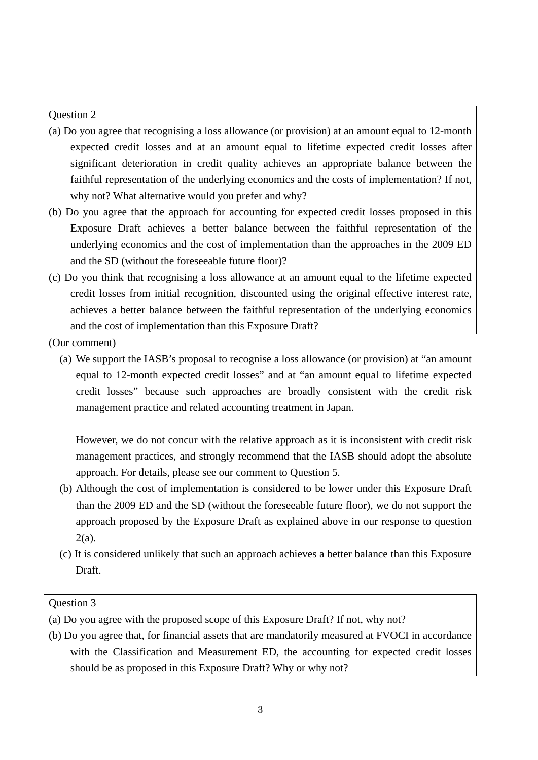# Question 2

- (a) Do you agree that recognising a loss allowance (or provision) at an amount equal to 12-month expected credit losses and at an amount equal to lifetime expected credit losses after significant deterioration in credit quality achieves an appropriate balance between the faithful representation of the underlying economics and the costs of implementation? If not, why not? What alternative would you prefer and why?
- (b) Do you agree that the approach for accounting for expected credit losses proposed in this Exposure Draft achieves a better balance between the faithful representation of the underlying economics and the cost of implementation than the approaches in the 2009 ED and the SD (without the foreseeable future floor)?
- (c) Do you think that recognising a loss allowance at an amount equal to the lifetime expected credit losses from initial recognition, discounted using the original effective interest rate, achieves a better balance between the faithful representation of the underlying economics and the cost of implementation than this Exposure Draft?

(Our comment)

(a) We support the IASB's proposal to recognise a loss allowance (or provision) at "an amount equal to 12-month expected credit losses" and at "an amount equal to lifetime expected credit losses" because such approaches are broadly consistent with the credit risk management practice and related accounting treatment in Japan.

However, we do not concur with the relative approach as it is inconsistent with credit risk management practices, and strongly recommend that the IASB should adopt the absolute approach. For details, please see our comment to Question 5.

- (b) Although the cost of implementation is considered to be lower under this Exposure Draft than the 2009 ED and the SD (without the foreseeable future floor), we do not support the approach proposed by the Exposure Draft as explained above in our response to question 2(a).
- (c) It is considered unlikely that such an approach achieves a better balance than this Exposure Draft.

# Question 3

(b) Do you agree that, for financial assets that are mandatorily measured at FVOCI in accordance with the Classification and Measurement ED, the accounting for expected credit losses should be as proposed in this Exposure Draft? Why or why not?

<sup>(</sup>a) Do you agree with the proposed scope of this Exposure Draft? If not, why not?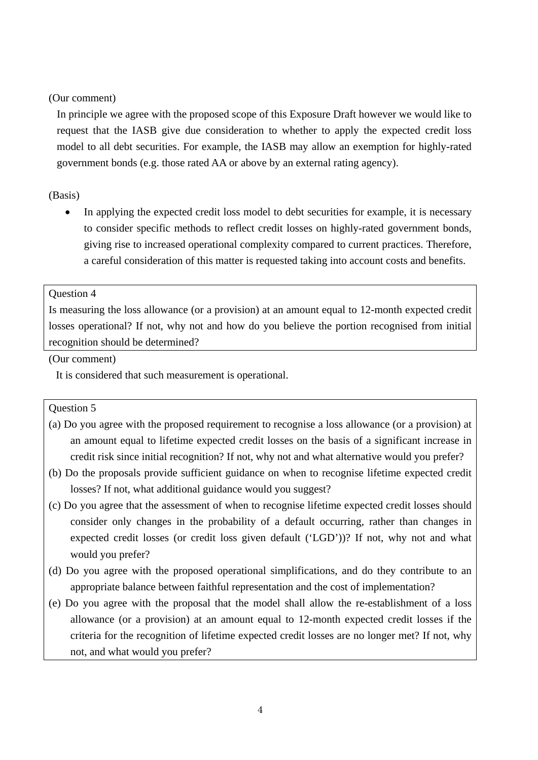In principle we agree with the proposed scope of this Exposure Draft however we would like to request that the IASB give due consideration to whether to apply the expected credit loss model to all debt securities. For example, the IASB may allow an exemption for highly-rated government bonds (e.g. those rated AA or above by an external rating agency).

#### (Basis)

 In applying the expected credit loss model to debt securities for example, it is necessary to consider specific methods to reflect credit losses on highly-rated government bonds, giving rise to increased operational complexity compared to current practices. Therefore, a careful consideration of this matter is requested taking into account costs and benefits.

# Question 4

Is measuring the loss allowance (or a provision) at an amount equal to 12-month expected credit losses operational? If not, why not and how do you believe the portion recognised from initial recognition should be determined?

(Our comment)

It is considered that such measurement is operational.

#### Question 5

- (a) Do you agree with the proposed requirement to recognise a loss allowance (or a provision) at an amount equal to lifetime expected credit losses on the basis of a significant increase in credit risk since initial recognition? If not, why not and what alternative would you prefer?
- (b) Do the proposals provide sufficient guidance on when to recognise lifetime expected credit losses? If not, what additional guidance would you suggest?
- (c) Do you agree that the assessment of when to recognise lifetime expected credit losses should consider only changes in the probability of a default occurring, rather than changes in expected credit losses (or credit loss given default ('LGD'))? If not, why not and what would you prefer?
- (d) Do you agree with the proposed operational simplifications, and do they contribute to an appropriate balance between faithful representation and the cost of implementation?
- (e) Do you agree with the proposal that the model shall allow the re-establishment of a loss allowance (or a provision) at an amount equal to 12-month expected credit losses if the criteria for the recognition of lifetime expected credit losses are no longer met? If not, why not, and what would you prefer?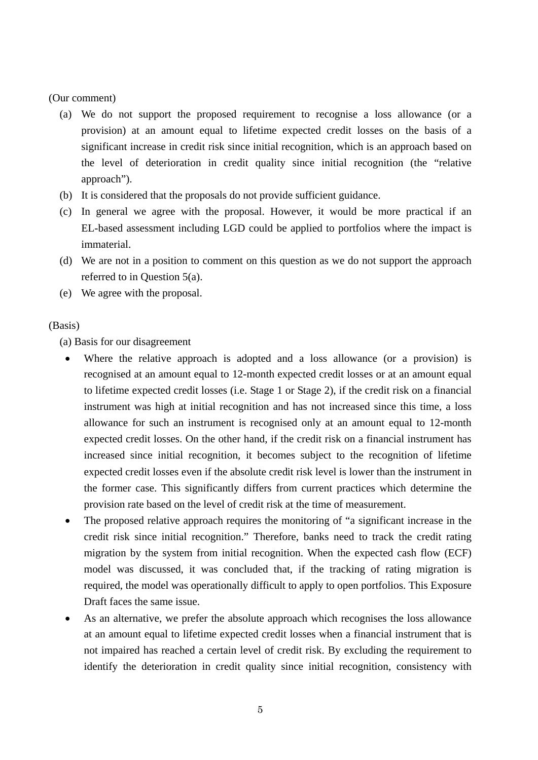- (a) We do not support the proposed requirement to recognise a loss allowance (or a provision) at an amount equal to lifetime expected credit losses on the basis of a significant increase in credit risk since initial recognition, which is an approach based on the level of deterioration in credit quality since initial recognition (the "relative approach").
- (b) It is considered that the proposals do not provide sufficient guidance.
- (c) In general we agree with the proposal. However, it would be more practical if an EL-based assessment including LGD could be applied to portfolios where the impact is immaterial.
- (d) We are not in a position to comment on this question as we do not support the approach referred to in Question 5(a).
- (e) We agree with the proposal.

# (Basis)

(a) Basis for our disagreement

- Where the relative approach is adopted and a loss allowance (or a provision) is recognised at an amount equal to 12-month expected credit losses or at an amount equal to lifetime expected credit losses (i.e. Stage 1 or Stage 2), if the credit risk on a financial instrument was high at initial recognition and has not increased since this time, a loss allowance for such an instrument is recognised only at an amount equal to 12-month expected credit losses. On the other hand, if the credit risk on a financial instrument has increased since initial recognition, it becomes subject to the recognition of lifetime expected credit losses even if the absolute credit risk level is lower than the instrument in the former case. This significantly differs from current practices which determine the provision rate based on the level of credit risk at the time of measurement.
- The proposed relative approach requires the monitoring of "a significant increase in the credit risk since initial recognition." Therefore, banks need to track the credit rating migration by the system from initial recognition. When the expected cash flow (ECF) model was discussed, it was concluded that, if the tracking of rating migration is required, the model was operationally difficult to apply to open portfolios. This Exposure Draft faces the same issue.
- As an alternative, we prefer the absolute approach which recognises the loss allowance at an amount equal to lifetime expected credit losses when a financial instrument that is not impaired has reached a certain level of credit risk. By excluding the requirement to identify the deterioration in credit quality since initial recognition, consistency with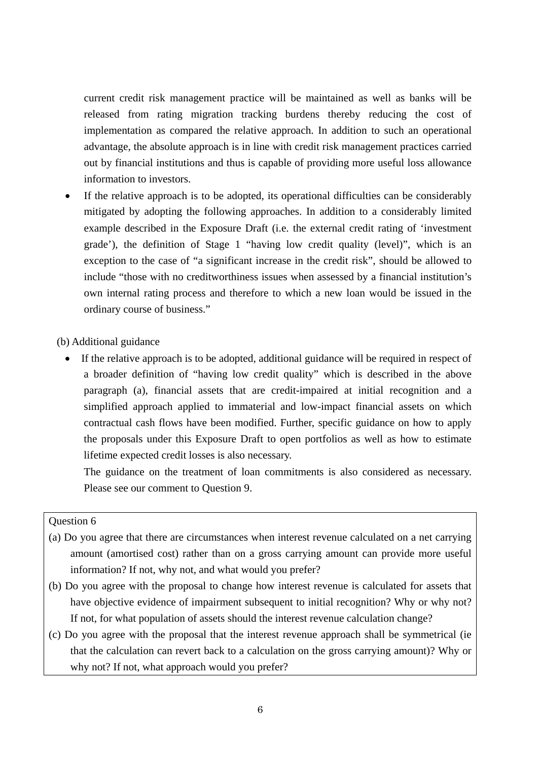current credit risk management practice will be maintained as well as banks will be released from rating migration tracking burdens thereby reducing the cost of implementation as compared the relative approach. In addition to such an operational advantage, the absolute approach is in line with credit risk management practices carried out by financial institutions and thus is capable of providing more useful loss allowance information to investors.

 If the relative approach is to be adopted, its operational difficulties can be considerably mitigated by adopting the following approaches. In addition to a considerably limited example described in the Exposure Draft (i.e. the external credit rating of 'investment grade'), the definition of Stage 1 "having low credit quality (level)", which is an exception to the case of "a significant increase in the credit risk", should be allowed to include "those with no creditworthiness issues when assessed by a financial institution's own internal rating process and therefore to which a new loan would be issued in the ordinary course of business."

(b) Additional guidance

 If the relative approach is to be adopted, additional guidance will be required in respect of a broader definition of "having low credit quality" which is described in the above paragraph (a), financial assets that are credit-impaired at initial recognition and a simplified approach applied to immaterial and low-impact financial assets on which contractual cash flows have been modified. Further, specific guidance on how to apply the proposals under this Exposure Draft to open portfolios as well as how to estimate lifetime expected credit losses is also necessary.

The guidance on the treatment of loan commitments is also considered as necessary. Please see our comment to Question 9.

# Question 6

- (a) Do you agree that there are circumstances when interest revenue calculated on a net carrying amount (amortised cost) rather than on a gross carrying amount can provide more useful information? If not, why not, and what would you prefer?
- (b) Do you agree with the proposal to change how interest revenue is calculated for assets that have objective evidence of impairment subsequent to initial recognition? Why or why not? If not, for what population of assets should the interest revenue calculation change?
- (c) Do you agree with the proposal that the interest revenue approach shall be symmetrical (ie that the calculation can revert back to a calculation on the gross carrying amount)? Why or why not? If not, what approach would you prefer?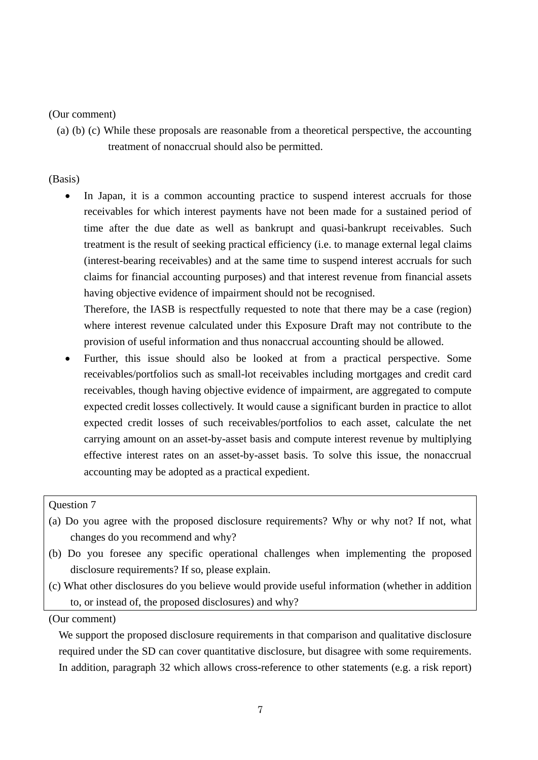(a) (b) (c) While these proposals are reasonable from a theoretical perspective, the accounting treatment of nonaccrual should also be permitted.

# (Basis)

• In Japan, it is a common accounting practice to suspend interest accruals for those receivables for which interest payments have not been made for a sustained period of time after the due date as well as bankrupt and quasi-bankrupt receivables. Such treatment is the result of seeking practical efficiency (i.e. to manage external legal claims (interest-bearing receivables) and at the same time to suspend interest accruals for such claims for financial accounting purposes) and that interest revenue from financial assets having objective evidence of impairment should not be recognised.

Therefore, the IASB is respectfully requested to note that there may be a case (region) where interest revenue calculated under this Exposure Draft may not contribute to the provision of useful information and thus nonaccrual accounting should be allowed.

 Further, this issue should also be looked at from a practical perspective. Some receivables/portfolios such as small-lot receivables including mortgages and credit card receivables, though having objective evidence of impairment, are aggregated to compute expected credit losses collectively. It would cause a significant burden in practice to allot expected credit losses of such receivables/portfolios to each asset, calculate the net carrying amount on an asset-by-asset basis and compute interest revenue by multiplying effective interest rates on an asset-by-asset basis. To solve this issue, the nonaccrual accounting may be adopted as a practical expedient.

#### Question 7

- (a) Do you agree with the proposed disclosure requirements? Why or why not? If not, what changes do you recommend and why?
- (b) Do you foresee any specific operational challenges when implementing the proposed disclosure requirements? If so, please explain.
- (c) What other disclosures do you believe would provide useful information (whether in addition to, or instead of, the proposed disclosures) and why?

(Our comment)

We support the proposed disclosure requirements in that comparison and qualitative disclosure required under the SD can cover quantitative disclosure, but disagree with some requirements. In addition, paragraph 32 which allows cross-reference to other statements (e.g. a risk report)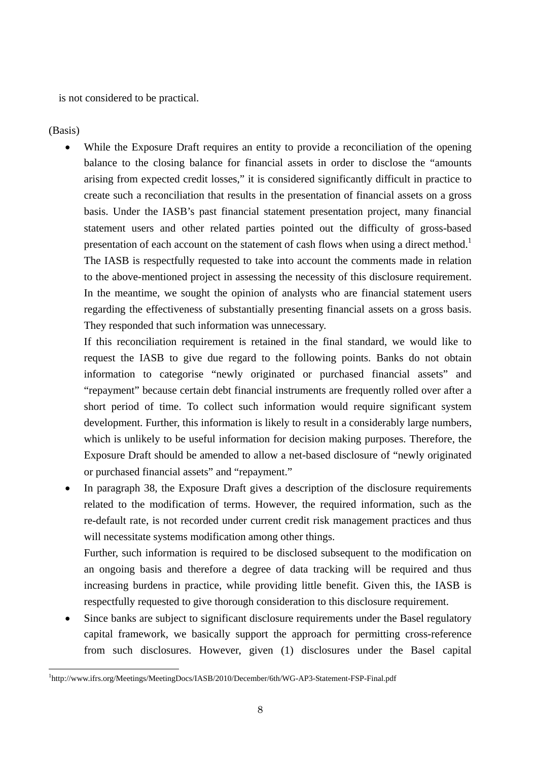is not considered to be practical.

(Basis)

 While the Exposure Draft requires an entity to provide a reconciliation of the opening balance to the closing balance for financial assets in order to disclose the "amounts arising from expected credit losses," it is considered significantly difficult in practice to create such a reconciliation that results in the presentation of financial assets on a gross basis. Under the IASB's past financial statement presentation project, many financial statement users and other related parties pointed out the difficulty of gross-based presentation of each account on the statement of cash flows when using a direct method.<sup>1</sup> The IASB is respectfully requested to take into account the comments made in relation to the above-mentioned project in assessing the necessity of this disclosure requirement. In the meantime, we sought the opinion of analysts who are financial statement users regarding the effectiveness of substantially presenting financial assets on a gross basis. They responded that such information was unnecessary.

If this reconciliation requirement is retained in the final standard, we would like to request the IASB to give due regard to the following points. Banks do not obtain information to categorise "newly originated or purchased financial assets" and "repayment" because certain debt financial instruments are frequently rolled over after a short period of time. To collect such information would require significant system development. Further, this information is likely to result in a considerably large numbers, which is unlikely to be useful information for decision making purposes. Therefore, the Exposure Draft should be amended to allow a net-based disclosure of "newly originated or purchased financial assets" and "repayment."

 In paragraph 38, the Exposure Draft gives a description of the disclosure requirements related to the modification of terms. However, the required information, such as the re-default rate, is not recorded under current credit risk management practices and thus will necessitate systems modification among other things.

Further, such information is required to be disclosed subsequent to the modification on an ongoing basis and therefore a degree of data tracking will be required and thus increasing burdens in practice, while providing little benefit. Given this, the IASB is respectfully requested to give thorough consideration to this disclosure requirement.

 Since banks are subject to significant disclosure requirements under the Basel regulatory capital framework, we basically support the approach for permitting cross-reference from such disclosures. However, given (1) disclosures under the Basel capital

<sup>-</sup>1 http://www.ifrs.org/Meetings/MeetingDocs/IASB/2010/December/6th/WG-AP3-Statement-FSP-Final.pdf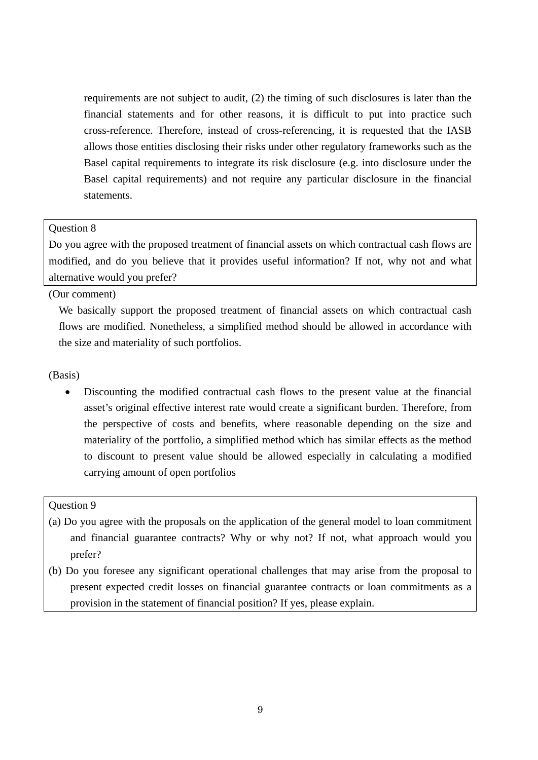requirements are not subject to audit, (2) the timing of such disclosures is later than the financial statements and for other reasons, it is difficult to put into practice such cross-reference. Therefore, instead of cross-referencing, it is requested that the IASB allows those entities disclosing their risks under other regulatory frameworks such as the Basel capital requirements to integrate its risk disclosure (e.g. into disclosure under the Basel capital requirements) and not require any particular disclosure in the financial statements.

#### Question 8

Do you agree with the proposed treatment of financial assets on which contractual cash flows are modified, and do you believe that it provides useful information? If not, why not and what alternative would you prefer?

(Our comment)

We basically support the proposed treatment of financial assets on which contractual cash flows are modified. Nonetheless, a simplified method should be allowed in accordance with the size and materiality of such portfolios.

#### (Basis)

 Discounting the modified contractual cash flows to the present value at the financial asset's original effective interest rate would create a significant burden. Therefore, from the perspective of costs and benefits, where reasonable depending on the size and materiality of the portfolio, a simplified method which has similar effects as the method to discount to present value should be allowed especially in calculating a modified carrying amount of open portfolios

#### Question 9

- (a) Do you agree with the proposals on the application of the general model to loan commitment and financial guarantee contracts? Why or why not? If not, what approach would you prefer?
- (b) Do you foresee any significant operational challenges that may arise from the proposal to present expected credit losses on financial guarantee contracts or loan commitments as a provision in the statement of financial position? If yes, please explain.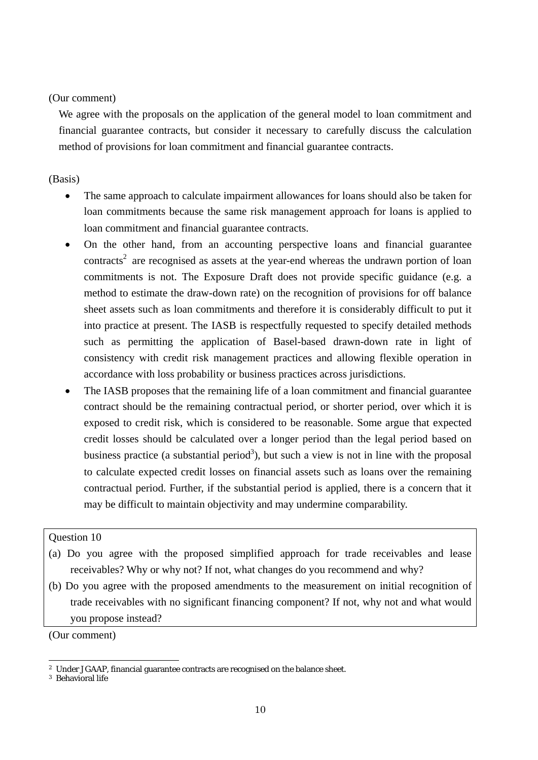We agree with the proposals on the application of the general model to loan commitment and financial guarantee contracts, but consider it necessary to carefully discuss the calculation method of provisions for loan commitment and financial guarantee contracts.

# (Basis)

- The same approach to calculate impairment allowances for loans should also be taken for loan commitments because the same risk management approach for loans is applied to loan commitment and financial guarantee contracts.
- On the other hand, from an accounting perspective loans and financial guarantee contracts<sup>2</sup> are recognised as assets at the year-end whereas the undrawn portion of loan commitments is not. The Exposure Draft does not provide specific guidance (e.g. a method to estimate the draw-down rate) on the recognition of provisions for off balance sheet assets such as loan commitments and therefore it is considerably difficult to put it into practice at present. The IASB is respectfully requested to specify detailed methods such as permitting the application of Basel-based drawn-down rate in light of consistency with credit risk management practices and allowing flexible operation in accordance with loss probability or business practices across jurisdictions.
- The IASB proposes that the remaining life of a loan commitment and financial guarantee contract should be the remaining contractual period, or shorter period, over which it is exposed to credit risk, which is considered to be reasonable. Some argue that expected credit losses should be calculated over a longer period than the legal period based on business practice (a substantial period<sup>3</sup>), but such a view is not in line with the proposal to calculate expected credit losses on financial assets such as loans over the remaining contractual period. Further, if the substantial period is applied, there is a concern that it may be difficult to maintain objectivity and may undermine comparability.

# Question 10

- (a) Do you agree with the proposed simplified approach for trade receivables and lease receivables? Why or why not? If not, what changes do you recommend and why?
- (b) Do you agree with the proposed amendments to the measurement on initial recognition of trade receivables with no significant financing component? If not, why not and what would you propose instead?

(Our comment)

<sup>-</sup>2 Under JGAAP, financial guarantee contracts are recognised on the balance sheet.

<sup>3</sup> Behavioral life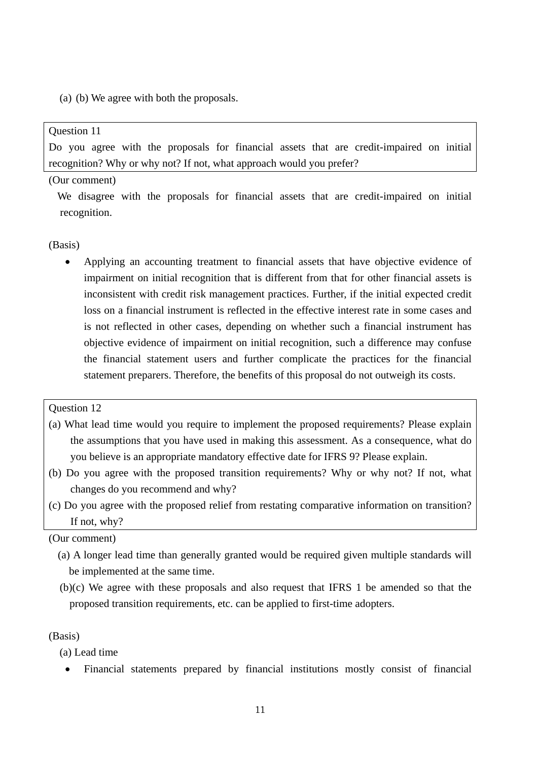(a) (b) We agree with both the proposals.

### Question 11

Do you agree with the proposals for financial assets that are credit-impaired on initial recognition? Why or why not? If not, what approach would you prefer?

#### (Our comment)

We disagree with the proposals for financial assets that are credit-impaired on initial recognition.

#### (Basis)

 Applying an accounting treatment to financial assets that have objective evidence of impairment on initial recognition that is different from that for other financial assets is inconsistent with credit risk management practices. Further, if the initial expected credit loss on a financial instrument is reflected in the effective interest rate in some cases and is not reflected in other cases, depending on whether such a financial instrument has objective evidence of impairment on initial recognition, such a difference may confuse the financial statement users and further complicate the practices for the financial statement preparers. Therefore, the benefits of this proposal do not outweigh its costs.

#### Question 12

- (a) What lead time would you require to implement the proposed requirements? Please explain the assumptions that you have used in making this assessment. As a consequence, what do you believe is an appropriate mandatory effective date for IFRS 9? Please explain.
- (b) Do you agree with the proposed transition requirements? Why or why not? If not, what changes do you recommend and why?
- (c) Do you agree with the proposed relief from restating comparative information on transition? If not, why?

# (Our comment)

- (a) A longer lead time than generally granted would be required given multiple standards will be implemented at the same time.
- (b)(c) We agree with these proposals and also request that IFRS 1 be amended so that the proposed transition requirements, etc. can be applied to first-time adopters.

### (Basis)

(a) Lead time

Financial statements prepared by financial institutions mostly consist of financial